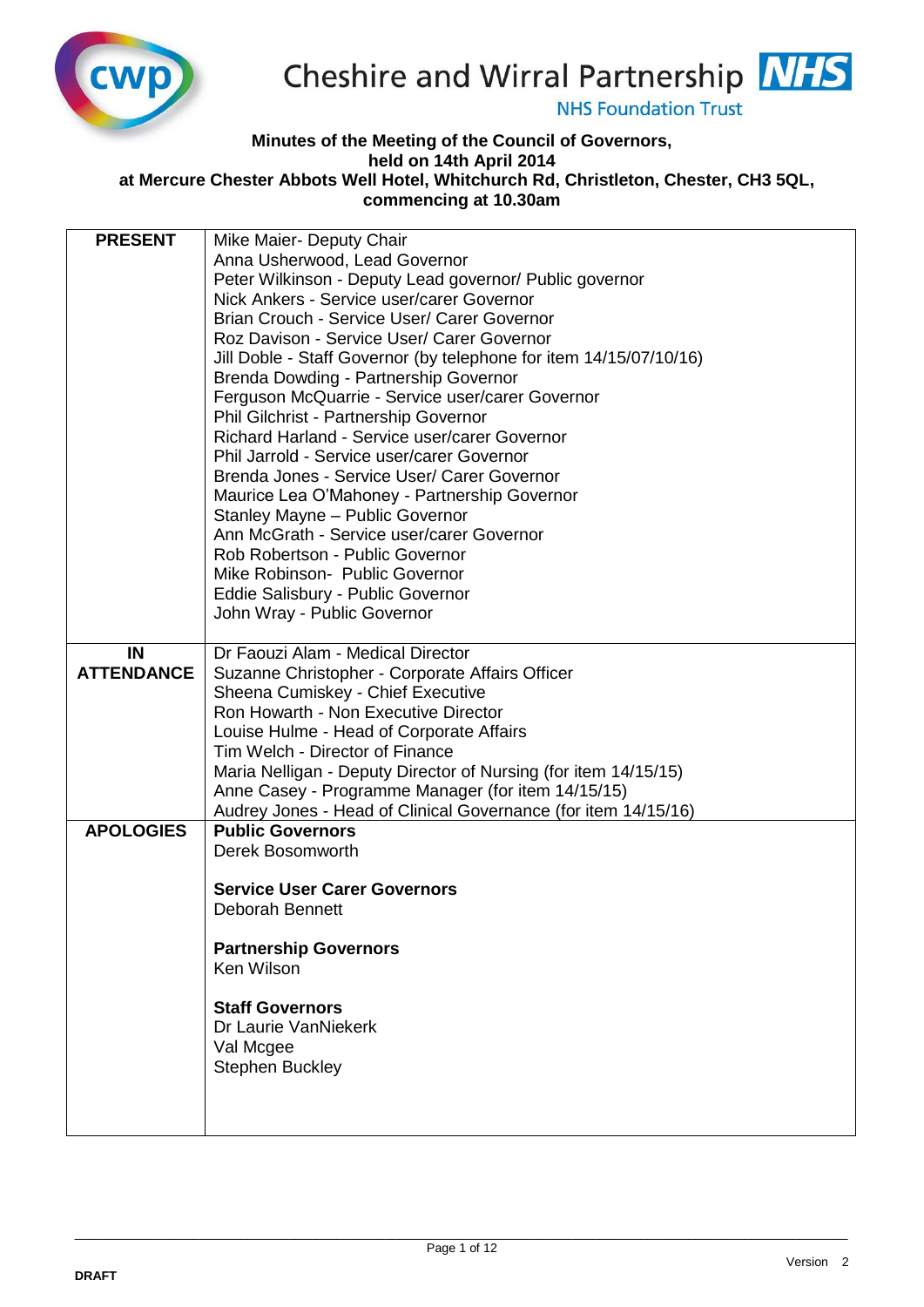

## Cheshire and Wirral Partnership NHS

**NHS Foundation Trust** 

## **Minutes of the Meeting of the Council of Governors, held on 14th April 2014**

**at Mercure Chester Abbots Well Hotel, Whitchurch Rd, Christleton, Chester, CH3 5QL, commencing at 10.30am** 

| <b>PRESENT</b><br>Mike Maier- Deputy Chair                           |  |
|----------------------------------------------------------------------|--|
| Anna Usherwood, Lead Governor                                        |  |
| Peter Wilkinson - Deputy Lead governor/ Public governor              |  |
| Nick Ankers - Service user/carer Governor                            |  |
| Brian Crouch - Service User/ Carer Governor                          |  |
| Roz Davison - Service User/ Carer Governor                           |  |
| Jill Doble - Staff Governor (by telephone for item 14/15/07/10/16)   |  |
| Brenda Dowding - Partnership Governor                                |  |
| Ferguson McQuarrie - Service user/carer Governor                     |  |
| Phil Gilchrist - Partnership Governor                                |  |
| Richard Harland - Service user/carer Governor                        |  |
| Phil Jarrold - Service user/carer Governor                           |  |
| Brenda Jones - Service User/ Carer Governor                          |  |
| Maurice Lea O'Mahoney - Partnership Governor                         |  |
| Stanley Mayne - Public Governor                                      |  |
| Ann McGrath - Service user/carer Governor                            |  |
| Rob Robertson - Public Governor                                      |  |
| Mike Robinson- Public Governor                                       |  |
| Eddie Salisbury - Public Governor                                    |  |
| John Wray - Public Governor                                          |  |
| IN<br>Dr Faouzi Alam - Medical Director                              |  |
| <b>ATTENDANCE</b><br>Suzanne Christopher - Corporate Affairs Officer |  |
| Sheena Cumiskey - Chief Executive                                    |  |
| Ron Howarth - Non Executive Director                                 |  |
| Louise Hulme - Head of Corporate Affairs                             |  |
| Tim Welch - Director of Finance                                      |  |
| Maria Nelligan - Deputy Director of Nursing (for item 14/15/15)      |  |
| Anne Casey - Programme Manager (for item 14/15/15)                   |  |
| Audrey Jones - Head of Clinical Governance (for item 14/15/16)       |  |
| <b>APOLOGIES</b><br><b>Public Governors</b>                          |  |
| Derek Bosomworth                                                     |  |
|                                                                      |  |
| <b>Service User Carer Governors</b>                                  |  |
| <b>Deborah Bennett</b>                                               |  |
|                                                                      |  |
| <b>Partnership Governors</b><br>Ken Wilson                           |  |
|                                                                      |  |
| <b>Staff Governors</b>                                               |  |
| Dr Laurie VanNiekerk                                                 |  |
| Val Mcgee                                                            |  |
| <b>Stephen Buckley</b>                                               |  |
|                                                                      |  |
|                                                                      |  |
|                                                                      |  |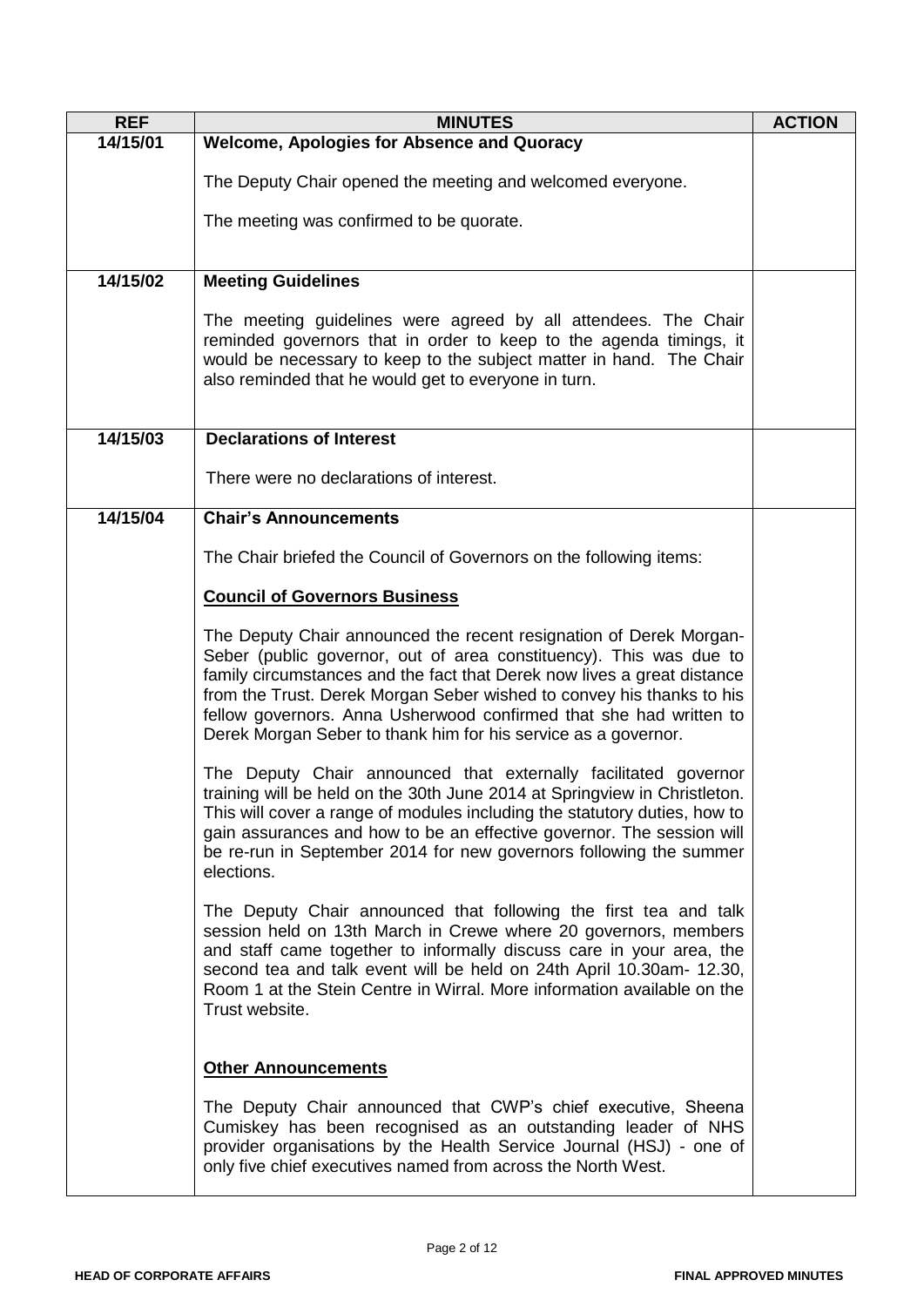| <b>REF</b> | <b>MINUTES</b>                                                                                                                                                                                                                                                                                                                                                                                                                       | <b>ACTION</b> |
|------------|--------------------------------------------------------------------------------------------------------------------------------------------------------------------------------------------------------------------------------------------------------------------------------------------------------------------------------------------------------------------------------------------------------------------------------------|---------------|
| 14/15/01   | <b>Welcome, Apologies for Absence and Quoracy</b>                                                                                                                                                                                                                                                                                                                                                                                    |               |
|            | The Deputy Chair opened the meeting and welcomed everyone.                                                                                                                                                                                                                                                                                                                                                                           |               |
|            | The meeting was confirmed to be quorate.                                                                                                                                                                                                                                                                                                                                                                                             |               |
|            |                                                                                                                                                                                                                                                                                                                                                                                                                                      |               |
| 14/15/02   | <b>Meeting Guidelines</b>                                                                                                                                                                                                                                                                                                                                                                                                            |               |
|            | The meeting guidelines were agreed by all attendees. The Chair<br>reminded governors that in order to keep to the agenda timings, it<br>would be necessary to keep to the subject matter in hand. The Chair<br>also reminded that he would get to everyone in turn.                                                                                                                                                                  |               |
| 14/15/03   | <b>Declarations of Interest</b>                                                                                                                                                                                                                                                                                                                                                                                                      |               |
|            | There were no declarations of interest.                                                                                                                                                                                                                                                                                                                                                                                              |               |
| 14/15/04   | <b>Chair's Announcements</b>                                                                                                                                                                                                                                                                                                                                                                                                         |               |
|            | The Chair briefed the Council of Governors on the following items:                                                                                                                                                                                                                                                                                                                                                                   |               |
|            | <b>Council of Governors Business</b>                                                                                                                                                                                                                                                                                                                                                                                                 |               |
|            | The Deputy Chair announced the recent resignation of Derek Morgan-<br>Seber (public governor, out of area constituency). This was due to<br>family circumstances and the fact that Derek now lives a great distance<br>from the Trust. Derek Morgan Seber wished to convey his thanks to his<br>fellow governors. Anna Usherwood confirmed that she had written to<br>Derek Morgan Seber to thank him for his service as a governor. |               |
|            | The Deputy Chair announced that externally facilitated governor<br>training will be held on the 30th June 2014 at Springview in Christleton.<br>This will cover a range of modules including the statutory duties, how to<br>gain assurances and how to be an effective governor. The session will<br>be re-run in September 2014 for new governors following the summer<br>elections.                                               |               |
|            | The Deputy Chair announced that following the first tea and talk<br>session held on 13th March in Crewe where 20 governors, members<br>and staff came together to informally discuss care in your area, the<br>second tea and talk event will be held on 24th April 10.30am- 12.30,<br>Room 1 at the Stein Centre in Wirral. More information available on the<br>Trust website.                                                     |               |
|            | <b>Other Announcements</b><br>The Deputy Chair announced that CWP's chief executive, Sheena<br>Cumiskey has been recognised as an outstanding leader of NHS<br>provider organisations by the Health Service Journal (HSJ) - one of<br>only five chief executives named from across the North West.                                                                                                                                   |               |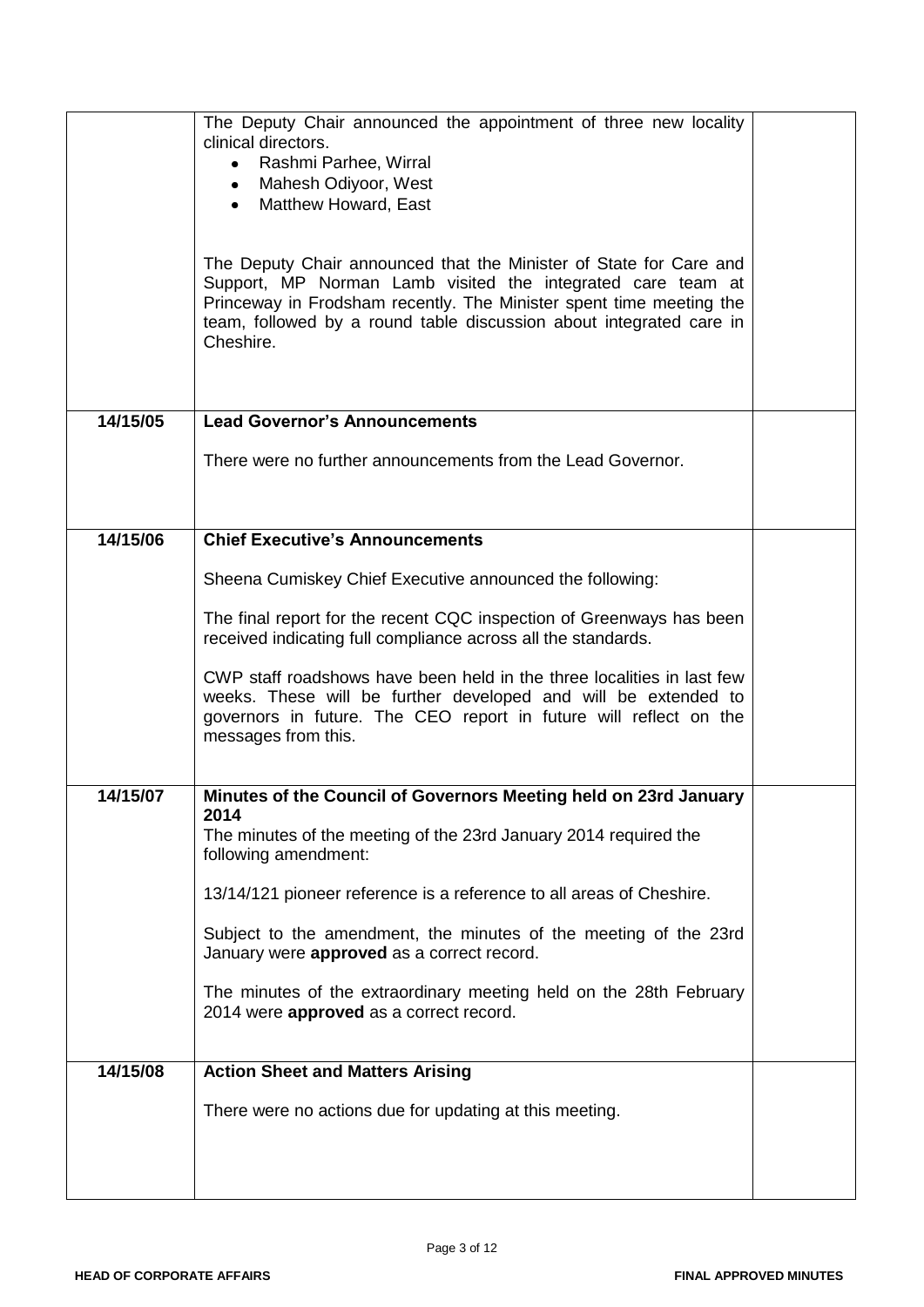|          | The Deputy Chair announced the appointment of three new locality<br>clinical directors.<br>Rashmi Parhee, Wirral<br>$\bullet$<br>Mahesh Odiyoor, West<br>$\bullet$<br>Matthew Howard, East<br>$\bullet$<br>The Deputy Chair announced that the Minister of State for Care and<br>Support, MP Norman Lamb visited the integrated care team at<br>Princeway in Frodsham recently. The Minister spent time meeting the<br>team, followed by a round table discussion about integrated care in<br>Cheshire. |  |
|----------|---------------------------------------------------------------------------------------------------------------------------------------------------------------------------------------------------------------------------------------------------------------------------------------------------------------------------------------------------------------------------------------------------------------------------------------------------------------------------------------------------------|--|
| 14/15/05 | <b>Lead Governor's Announcements</b>                                                                                                                                                                                                                                                                                                                                                                                                                                                                    |  |
|          | There were no further announcements from the Lead Governor.                                                                                                                                                                                                                                                                                                                                                                                                                                             |  |
| 14/15/06 | <b>Chief Executive's Announcements</b>                                                                                                                                                                                                                                                                                                                                                                                                                                                                  |  |
|          | Sheena Cumiskey Chief Executive announced the following:                                                                                                                                                                                                                                                                                                                                                                                                                                                |  |
|          | The final report for the recent CQC inspection of Greenways has been<br>received indicating full compliance across all the standards.                                                                                                                                                                                                                                                                                                                                                                   |  |
|          | CWP staff roadshows have been held in the three localities in last few<br>weeks. These will be further developed and will be extended to<br>governors in future. The CEO report in future will reflect on the<br>messages from this.                                                                                                                                                                                                                                                                    |  |
| 14/15/07 | Minutes of the Council of Governors Meeting held on 23rd January                                                                                                                                                                                                                                                                                                                                                                                                                                        |  |
|          | 2014<br>The minutes of the meeting of the 23rd January 2014 required the<br>following amendment:                                                                                                                                                                                                                                                                                                                                                                                                        |  |
|          | 13/14/121 pioneer reference is a reference to all areas of Cheshire.                                                                                                                                                                                                                                                                                                                                                                                                                                    |  |
|          | Subject to the amendment, the minutes of the meeting of the 23rd<br>January were approved as a correct record.                                                                                                                                                                                                                                                                                                                                                                                          |  |
|          | The minutes of the extraordinary meeting held on the 28th February<br>2014 were approved as a correct record.                                                                                                                                                                                                                                                                                                                                                                                           |  |
| 14/15/08 | <b>Action Sheet and Matters Arising</b>                                                                                                                                                                                                                                                                                                                                                                                                                                                                 |  |
|          | There were no actions due for updating at this meeting.                                                                                                                                                                                                                                                                                                                                                                                                                                                 |  |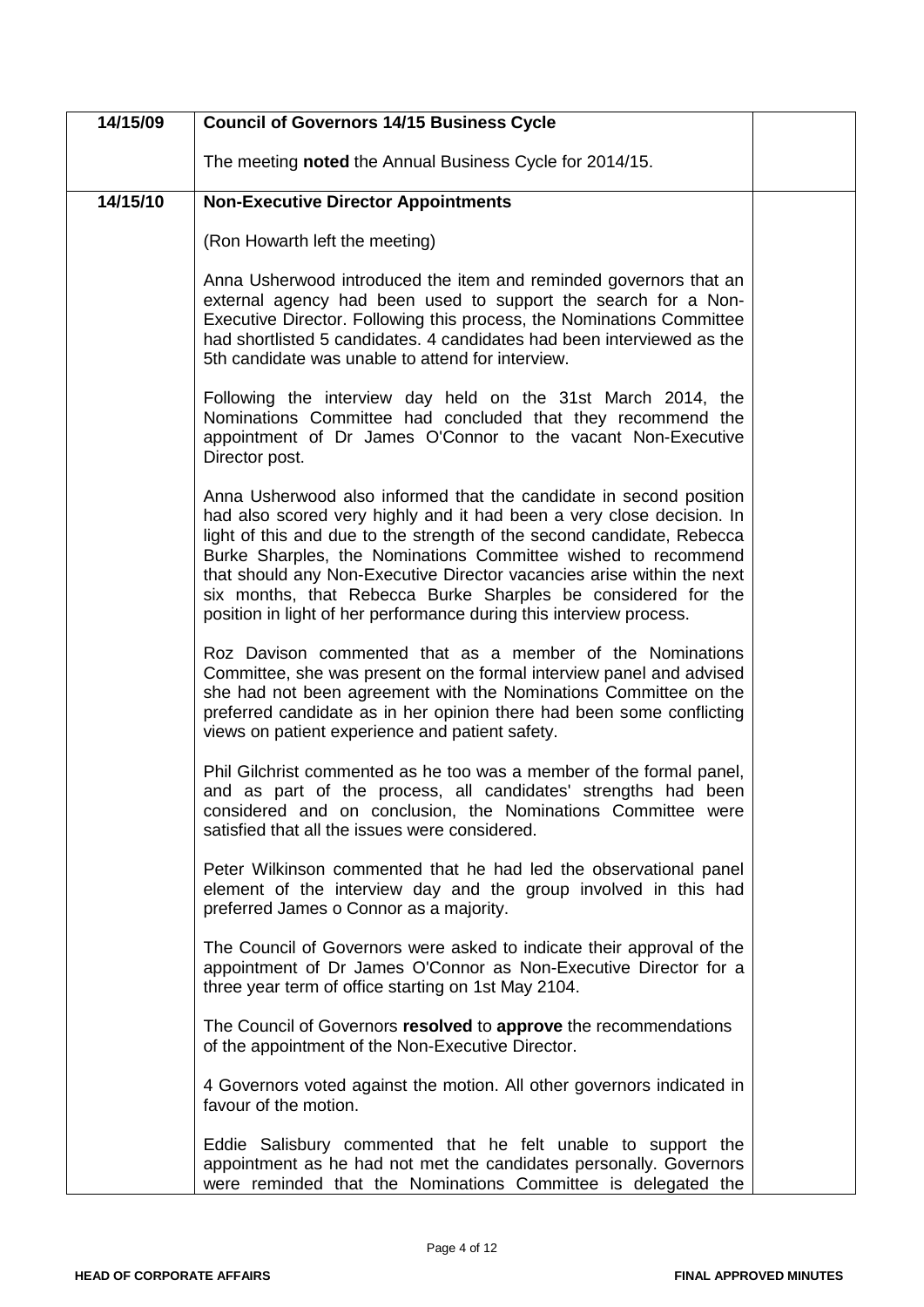| 14/15/09 | <b>Council of Governors 14/15 Business Cycle</b>                                                                                                                                                                                                                                                                                                                                                                                                                                                         |  |
|----------|----------------------------------------------------------------------------------------------------------------------------------------------------------------------------------------------------------------------------------------------------------------------------------------------------------------------------------------------------------------------------------------------------------------------------------------------------------------------------------------------------------|--|
|          | The meeting <b>noted</b> the Annual Business Cycle for 2014/15.                                                                                                                                                                                                                                                                                                                                                                                                                                          |  |
| 14/15/10 | <b>Non-Executive Director Appointments</b>                                                                                                                                                                                                                                                                                                                                                                                                                                                               |  |
|          | (Ron Howarth left the meeting)                                                                                                                                                                                                                                                                                                                                                                                                                                                                           |  |
|          | Anna Usherwood introduced the item and reminded governors that an<br>external agency had been used to support the search for a Non-<br>Executive Director. Following this process, the Nominations Committee<br>had shortlisted 5 candidates. 4 candidates had been interviewed as the<br>5th candidate was unable to attend for interview.                                                                                                                                                              |  |
|          | Following the interview day held on the 31st March 2014, the<br>Nominations Committee had concluded that they recommend the<br>appointment of Dr James O'Connor to the vacant Non-Executive<br>Director post.                                                                                                                                                                                                                                                                                            |  |
|          | Anna Usherwood also informed that the candidate in second position<br>had also scored very highly and it had been a very close decision. In<br>light of this and due to the strength of the second candidate, Rebecca<br>Burke Sharples, the Nominations Committee wished to recommend<br>that should any Non-Executive Director vacancies arise within the next<br>six months, that Rebecca Burke Sharples be considered for the<br>position in light of her performance during this interview process. |  |
|          | Roz Davison commented that as a member of the Nominations<br>Committee, she was present on the formal interview panel and advised<br>she had not been agreement with the Nominations Committee on the<br>preferred candidate as in her opinion there had been some conflicting<br>views on patient experience and patient safety.                                                                                                                                                                        |  |
|          | Phil Gilchrist commented as he too was a member of the formal panel,<br>and as part of the process, all candidates' strengths had been<br>considered and on conclusion, the Nominations Committee were<br>satisfied that all the issues were considered.                                                                                                                                                                                                                                                 |  |
|          | Peter Wilkinson commented that he had led the observational panel<br>element of the interview day and the group involved in this had<br>preferred James o Connor as a majority.                                                                                                                                                                                                                                                                                                                          |  |
|          | The Council of Governors were asked to indicate their approval of the<br>appointment of Dr James O'Connor as Non-Executive Director for a<br>three year term of office starting on 1st May 2104.                                                                                                                                                                                                                                                                                                         |  |
|          | The Council of Governors resolved to approve the recommendations<br>of the appointment of the Non-Executive Director.                                                                                                                                                                                                                                                                                                                                                                                    |  |
|          | 4 Governors voted against the motion. All other governors indicated in<br>favour of the motion.                                                                                                                                                                                                                                                                                                                                                                                                          |  |
|          | Eddie Salisbury commented that he felt unable to support the<br>appointment as he had not met the candidates personally. Governors<br>were reminded that the Nominations Committee is delegated the                                                                                                                                                                                                                                                                                                      |  |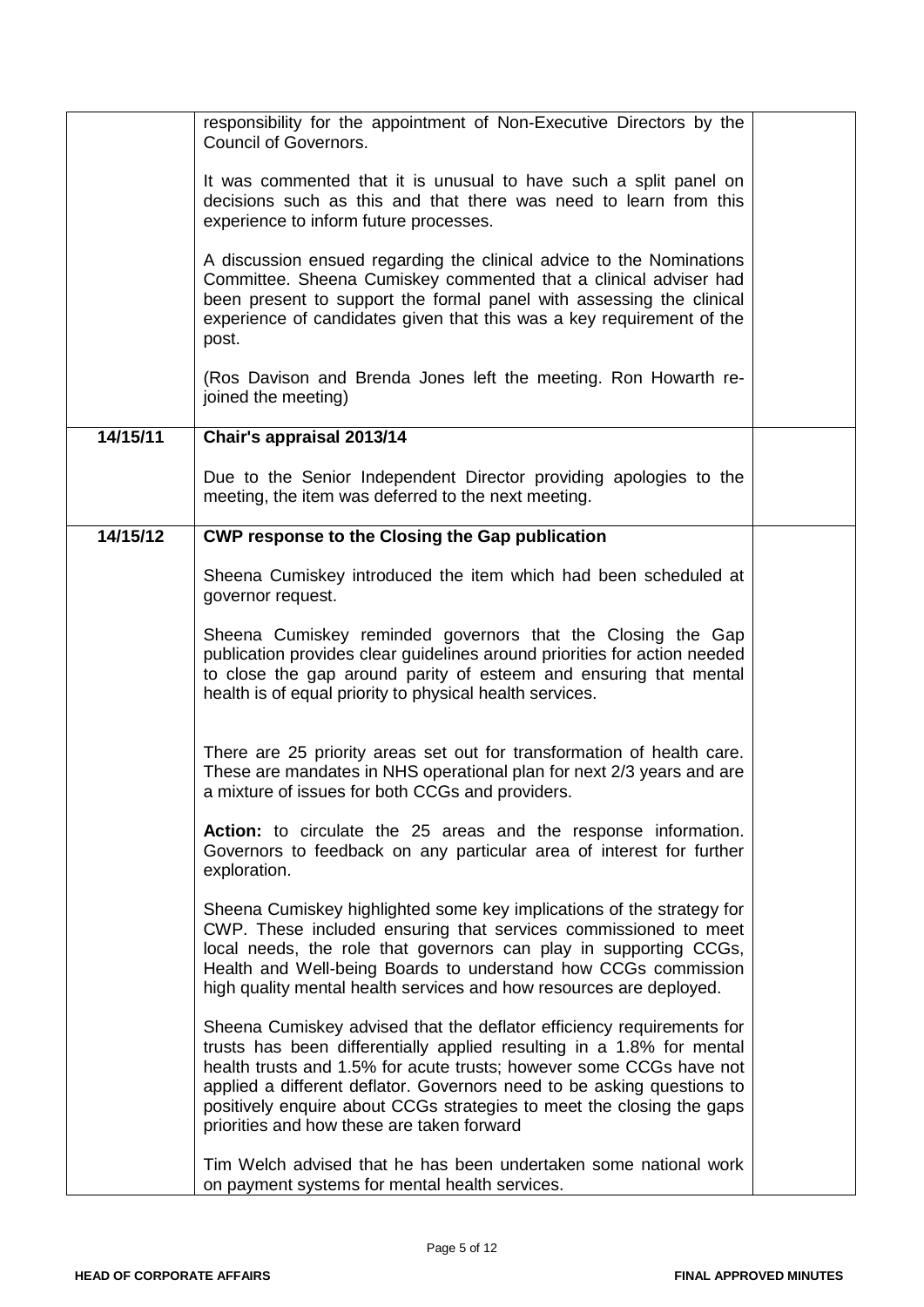|          | responsibility for the appointment of Non-Executive Directors by the<br><b>Council of Governors.</b>                                                                                                                                                                                                                                                                                                                   |  |
|----------|------------------------------------------------------------------------------------------------------------------------------------------------------------------------------------------------------------------------------------------------------------------------------------------------------------------------------------------------------------------------------------------------------------------------|--|
|          | It was commented that it is unusual to have such a split panel on<br>decisions such as this and that there was need to learn from this<br>experience to inform future processes.                                                                                                                                                                                                                                       |  |
|          | A discussion ensued regarding the clinical advice to the Nominations<br>Committee. Sheena Cumiskey commented that a clinical adviser had<br>been present to support the formal panel with assessing the clinical<br>experience of candidates given that this was a key requirement of the<br>post.                                                                                                                     |  |
|          | (Ros Davison and Brenda Jones left the meeting. Ron Howarth re-<br>joined the meeting)                                                                                                                                                                                                                                                                                                                                 |  |
| 14/15/11 | Chair's appraisal 2013/14                                                                                                                                                                                                                                                                                                                                                                                              |  |
|          | Due to the Senior Independent Director providing apologies to the<br>meeting, the item was deferred to the next meeting.                                                                                                                                                                                                                                                                                               |  |
| 14/15/12 | <b>CWP response to the Closing the Gap publication</b>                                                                                                                                                                                                                                                                                                                                                                 |  |
|          | Sheena Cumiskey introduced the item which had been scheduled at<br>governor request.                                                                                                                                                                                                                                                                                                                                   |  |
|          | Sheena Cumiskey reminded governors that the Closing the Gap<br>publication provides clear guidelines around priorities for action needed<br>to close the gap around parity of esteem and ensuring that mental<br>health is of equal priority to physical health services.                                                                                                                                              |  |
|          | There are 25 priority areas set out for transformation of health care.<br>These are mandates in NHS operational plan for next 2/3 years and are<br>a mixture of issues for both CCGs and providers.                                                                                                                                                                                                                    |  |
|          | Action: to circulate the 25 areas and the response information.<br>Governors to feedback on any particular area of interest for further<br>exploration.                                                                                                                                                                                                                                                                |  |
|          | Sheena Cumiskey highlighted some key implications of the strategy for<br>CWP. These included ensuring that services commissioned to meet<br>local needs, the role that governors can play in supporting CCGs,<br>Health and Well-being Boards to understand how CCGs commission<br>high quality mental health services and how resources are deployed.                                                                 |  |
|          | Sheena Cumiskey advised that the deflator efficiency requirements for<br>trusts has been differentially applied resulting in a 1.8% for mental<br>health trusts and 1.5% for acute trusts; however some CCGs have not<br>applied a different deflator. Governors need to be asking questions to<br>positively enquire about CCGs strategies to meet the closing the gaps<br>priorities and how these are taken forward |  |
|          | Tim Welch advised that he has been undertaken some national work<br>on payment systems for mental health services.                                                                                                                                                                                                                                                                                                     |  |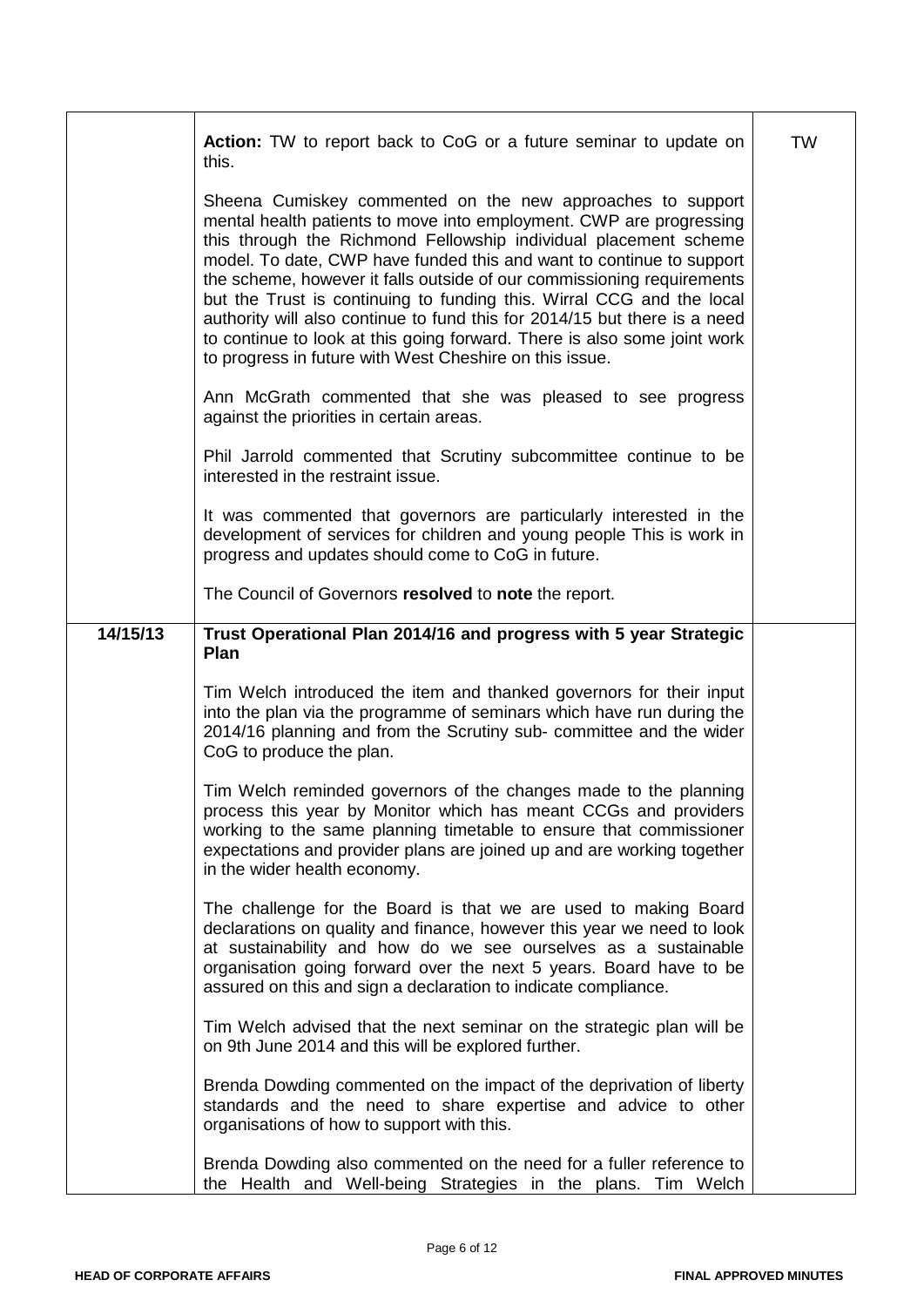|          | Action: TW to report back to CoG or a future seminar to update on<br>this.                                                                                                                                                                                                                                                                                                                                                                                                                                                                                                                                                                           | <b>TW</b> |
|----------|------------------------------------------------------------------------------------------------------------------------------------------------------------------------------------------------------------------------------------------------------------------------------------------------------------------------------------------------------------------------------------------------------------------------------------------------------------------------------------------------------------------------------------------------------------------------------------------------------------------------------------------------------|-----------|
|          | Sheena Cumiskey commented on the new approaches to support<br>mental health patients to move into employment. CWP are progressing<br>this through the Richmond Fellowship individual placement scheme<br>model. To date, CWP have funded this and want to continue to support<br>the scheme, however it falls outside of our commissioning requirements<br>but the Trust is continuing to funding this. Wirral CCG and the local<br>authority will also continue to fund this for 2014/15 but there is a need<br>to continue to look at this going forward. There is also some joint work<br>to progress in future with West Cheshire on this issue. |           |
|          | Ann McGrath commented that she was pleased to see progress<br>against the priorities in certain areas.                                                                                                                                                                                                                                                                                                                                                                                                                                                                                                                                               |           |
|          | Phil Jarrold commented that Scrutiny subcommittee continue to be<br>interested in the restraint issue.                                                                                                                                                                                                                                                                                                                                                                                                                                                                                                                                               |           |
|          | It was commented that governors are particularly interested in the<br>development of services for children and young people This is work in<br>progress and updates should come to CoG in future.                                                                                                                                                                                                                                                                                                                                                                                                                                                    |           |
|          | The Council of Governors resolved to note the report.                                                                                                                                                                                                                                                                                                                                                                                                                                                                                                                                                                                                |           |
| 14/15/13 | Trust Operational Plan 2014/16 and progress with 5 year Strategic<br>Plan                                                                                                                                                                                                                                                                                                                                                                                                                                                                                                                                                                            |           |
|          | Tim Welch introduced the item and thanked governors for their input<br>into the plan via the programme of seminars which have run during the<br>2014/16 planning and from the Scrutiny sub- committee and the wider<br>CoG to produce the plan.                                                                                                                                                                                                                                                                                                                                                                                                      |           |
|          | Tim Welch reminded governors of the changes made to the planning<br>process this year by Monitor which has meant CCGs and providers<br>working to the same planning timetable to ensure that commissioner<br>expectations and provider plans are joined up and are working together<br>in the wider health economy.                                                                                                                                                                                                                                                                                                                                  |           |
|          | The challenge for the Board is that we are used to making Board<br>declarations on quality and finance, however this year we need to look<br>at sustainability and how do we see ourselves as a sustainable<br>organisation going forward over the next 5 years. Board have to be<br>assured on this and sign a declaration to indicate compliance.                                                                                                                                                                                                                                                                                                  |           |
|          | Tim Welch advised that the next seminar on the strategic plan will be<br>on 9th June 2014 and this will be explored further.                                                                                                                                                                                                                                                                                                                                                                                                                                                                                                                         |           |
|          | Brenda Dowding commented on the impact of the deprivation of liberty<br>standards and the need to share expertise and advice to other<br>organisations of how to support with this.                                                                                                                                                                                                                                                                                                                                                                                                                                                                  |           |
|          | Brenda Dowding also commented on the need for a fuller reference to<br>the Health and Well-being Strategies in the plans. Tim Welch                                                                                                                                                                                                                                                                                                                                                                                                                                                                                                                  |           |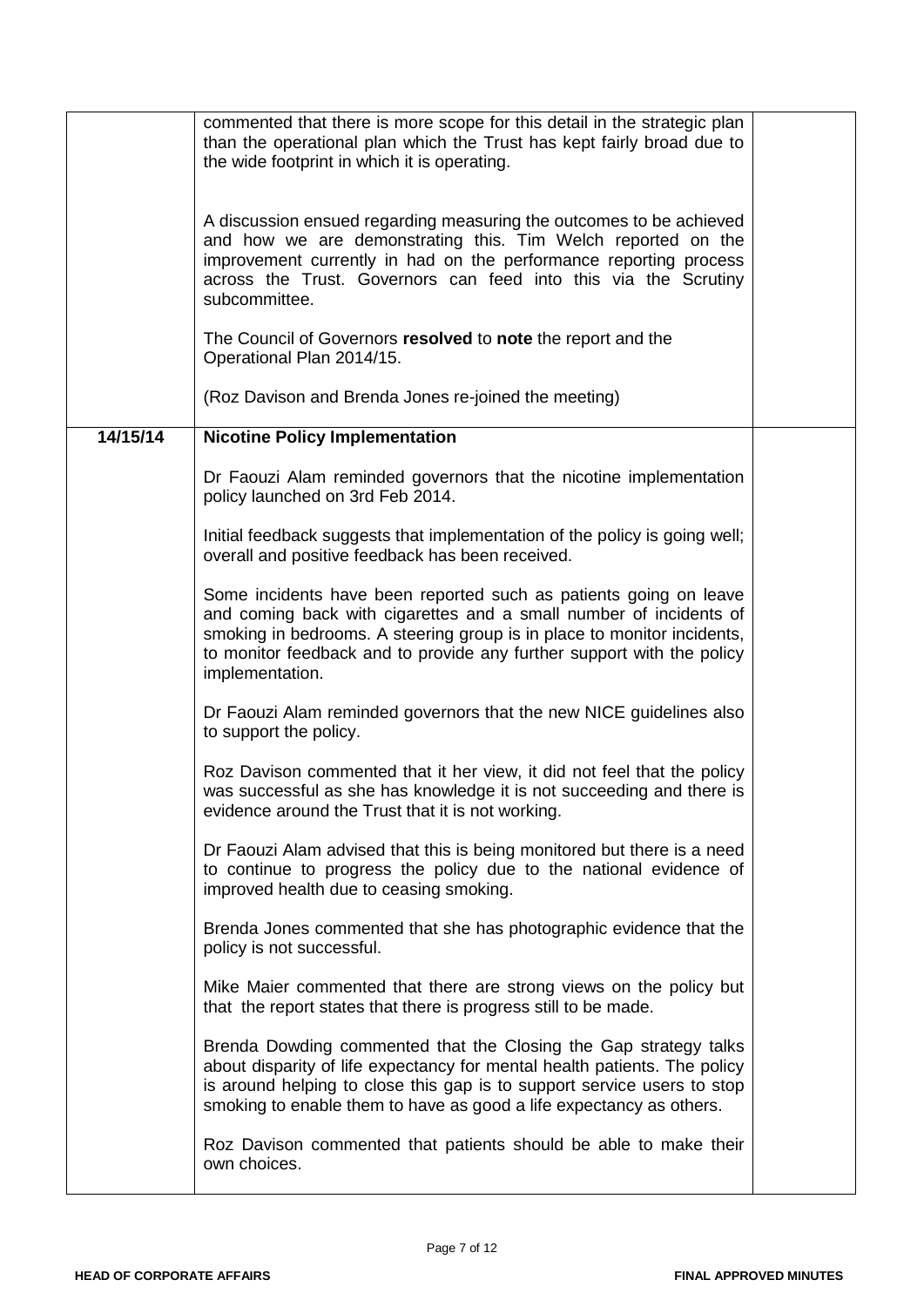|          | commented that there is more scope for this detail in the strategic plan<br>than the operational plan which the Trust has kept fairly broad due to<br>the wide footprint in which it is operating.                                                                                                              |  |
|----------|-----------------------------------------------------------------------------------------------------------------------------------------------------------------------------------------------------------------------------------------------------------------------------------------------------------------|--|
|          | A discussion ensued regarding measuring the outcomes to be achieved<br>and how we are demonstrating this. Tim Welch reported on the<br>improvement currently in had on the performance reporting process<br>across the Trust. Governors can feed into this via the Scrutiny<br>subcommittee.                    |  |
|          | The Council of Governors resolved to note the report and the<br>Operational Plan 2014/15.                                                                                                                                                                                                                       |  |
|          | (Roz Davison and Brenda Jones re-joined the meeting)                                                                                                                                                                                                                                                            |  |
| 14/15/14 | <b>Nicotine Policy Implementation</b>                                                                                                                                                                                                                                                                           |  |
|          | Dr Faouzi Alam reminded governors that the nicotine implementation<br>policy launched on 3rd Feb 2014.                                                                                                                                                                                                          |  |
|          | Initial feedback suggests that implementation of the policy is going well;<br>overall and positive feedback has been received.                                                                                                                                                                                  |  |
|          | Some incidents have been reported such as patients going on leave<br>and coming back with cigarettes and a small number of incidents of<br>smoking in bedrooms. A steering group is in place to monitor incidents,<br>to monitor feedback and to provide any further support with the policy<br>implementation. |  |
|          | Dr Faouzi Alam reminded governors that the new NICE guidelines also<br>to support the policy.                                                                                                                                                                                                                   |  |
|          | Roz Davison commented that it her view, it did not feel that the policy<br>was successful as she has knowledge it is not succeeding and there is<br>evidence around the Trust that it is not working.                                                                                                           |  |
|          | Dr Faouzi Alam advised that this is being monitored but there is a need<br>to continue to progress the policy due to the national evidence of<br>improved health due to ceasing smoking.                                                                                                                        |  |
|          | Brenda Jones commented that she has photographic evidence that the<br>policy is not successful.                                                                                                                                                                                                                 |  |
|          | Mike Maier commented that there are strong views on the policy but<br>that the report states that there is progress still to be made.                                                                                                                                                                           |  |
|          | Brenda Dowding commented that the Closing the Gap strategy talks<br>about disparity of life expectancy for mental health patients. The policy<br>is around helping to close this gap is to support service users to stop<br>smoking to enable them to have as good a life expectancy as others.                 |  |
|          | Roz Davison commented that patients should be able to make their<br>own choices.                                                                                                                                                                                                                                |  |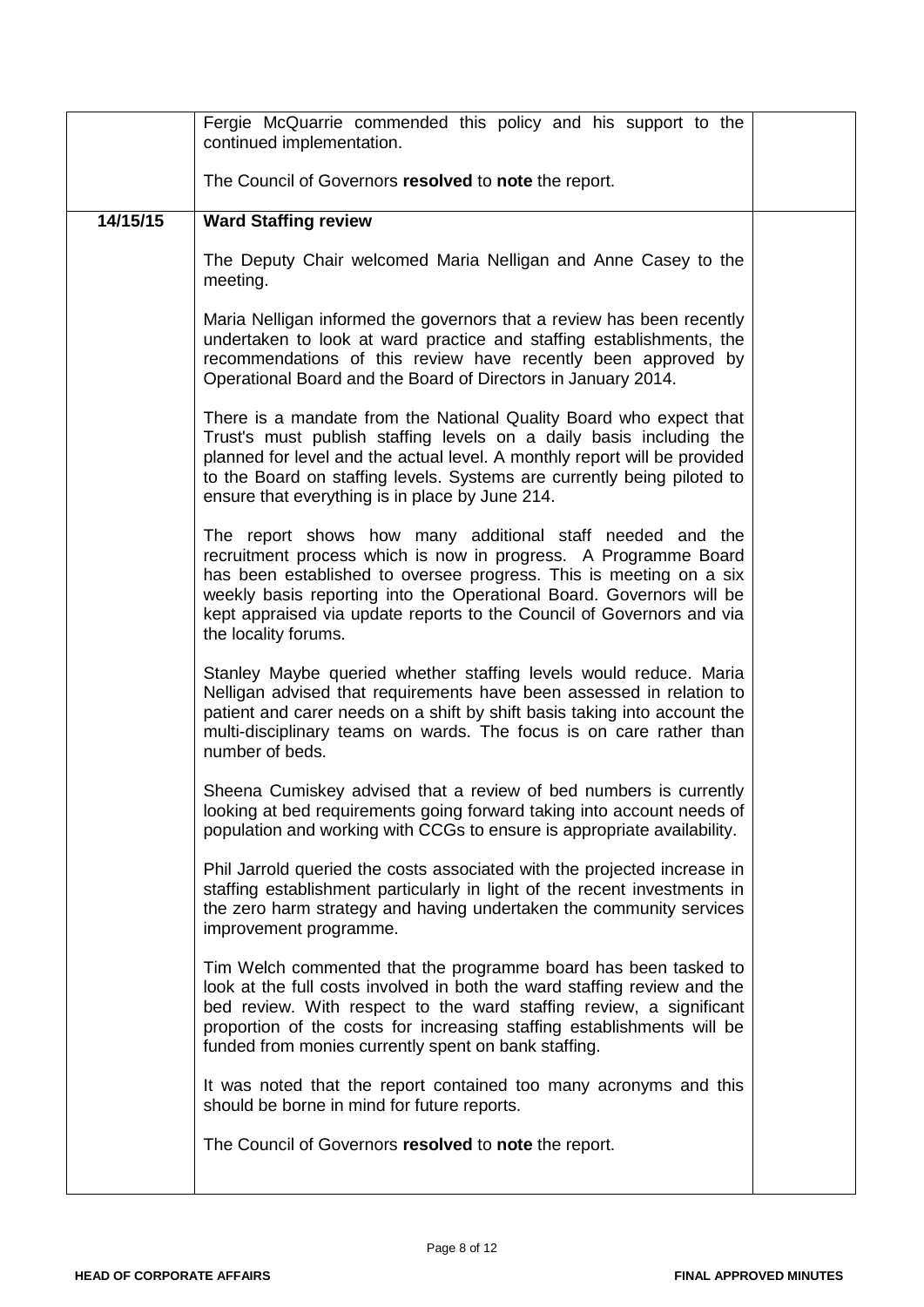|          | Fergie McQuarrie commended this policy and his support to the<br>continued implementation.                                                                                                                                                                                                                                                                                  |  |
|----------|-----------------------------------------------------------------------------------------------------------------------------------------------------------------------------------------------------------------------------------------------------------------------------------------------------------------------------------------------------------------------------|--|
|          | The Council of Governors resolved to note the report.                                                                                                                                                                                                                                                                                                                       |  |
| 14/15/15 | <b>Ward Staffing review</b>                                                                                                                                                                                                                                                                                                                                                 |  |
|          | The Deputy Chair welcomed Maria Nelligan and Anne Casey to the<br>meeting.                                                                                                                                                                                                                                                                                                  |  |
|          | Maria Nelligan informed the governors that a review has been recently<br>undertaken to look at ward practice and staffing establishments, the<br>recommendations of this review have recently been approved by<br>Operational Board and the Board of Directors in January 2014.                                                                                             |  |
|          | There is a mandate from the National Quality Board who expect that<br>Trust's must publish staffing levels on a daily basis including the<br>planned for level and the actual level. A monthly report will be provided<br>to the Board on staffing levels. Systems are currently being piloted to<br>ensure that everything is in place by June 214.                        |  |
|          | The report shows how many additional staff needed and the<br>recruitment process which is now in progress. A Programme Board<br>has been established to oversee progress. This is meeting on a six<br>weekly basis reporting into the Operational Board. Governors will be<br>kept appraised via update reports to the Council of Governors and via<br>the locality forums. |  |
|          | Stanley Maybe queried whether staffing levels would reduce. Maria<br>Nelligan advised that requirements have been assessed in relation to<br>patient and carer needs on a shift by shift basis taking into account the<br>multi-disciplinary teams on wards. The focus is on care rather than<br>number of beds.                                                            |  |
|          | Sheena Cumiskey advised that a review of bed numbers is currently<br>looking at bed requirements going forward taking into account needs of<br>population and working with CCGs to ensure is appropriate availability.                                                                                                                                                      |  |
|          | Phil Jarrold queried the costs associated with the projected increase in<br>staffing establishment particularly in light of the recent investments in<br>the zero harm strategy and having undertaken the community services<br>improvement programme.                                                                                                                      |  |
|          | Tim Welch commented that the programme board has been tasked to<br>look at the full costs involved in both the ward staffing review and the<br>bed review. With respect to the ward staffing review, a significant<br>proportion of the costs for increasing staffing establishments will be<br>funded from monies currently spent on bank staffing.                        |  |
|          | It was noted that the report contained too many acronyms and this<br>should be borne in mind for future reports.                                                                                                                                                                                                                                                            |  |
|          | The Council of Governors resolved to note the report.                                                                                                                                                                                                                                                                                                                       |  |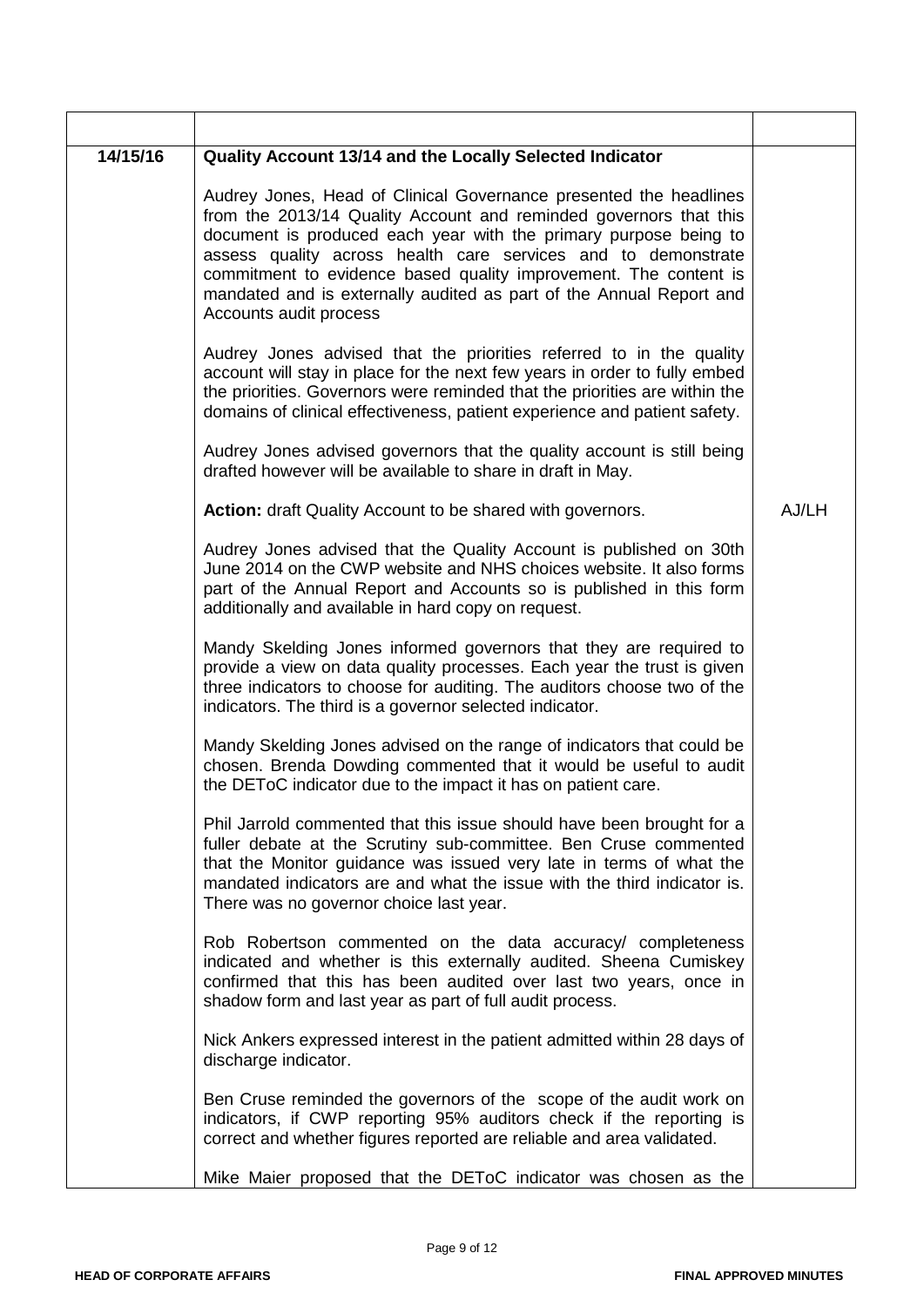| 14/15/16 | Quality Account 13/14 and the Locally Selected Indicator                                                                                                                                                                                                                                                                                                                                                                                         |       |
|----------|--------------------------------------------------------------------------------------------------------------------------------------------------------------------------------------------------------------------------------------------------------------------------------------------------------------------------------------------------------------------------------------------------------------------------------------------------|-------|
|          | Audrey Jones, Head of Clinical Governance presented the headlines<br>from the 2013/14 Quality Account and reminded governors that this<br>document is produced each year with the primary purpose being to<br>assess quality across health care services and to demonstrate<br>commitment to evidence based quality improvement. The content is<br>mandated and is externally audited as part of the Annual Report and<br>Accounts audit process |       |
|          | Audrey Jones advised that the priorities referred to in the quality<br>account will stay in place for the next few years in order to fully embed<br>the priorities. Governors were reminded that the priorities are within the<br>domains of clinical effectiveness, patient experience and patient safety.                                                                                                                                      |       |
|          | Audrey Jones advised governors that the quality account is still being<br>drafted however will be available to share in draft in May.                                                                                                                                                                                                                                                                                                            |       |
|          | Action: draft Quality Account to be shared with governors.                                                                                                                                                                                                                                                                                                                                                                                       | AJ/LH |
|          | Audrey Jones advised that the Quality Account is published on 30th<br>June 2014 on the CWP website and NHS choices website. It also forms<br>part of the Annual Report and Accounts so is published in this form<br>additionally and available in hard copy on request.                                                                                                                                                                          |       |
|          | Mandy Skelding Jones informed governors that they are required to<br>provide a view on data quality processes. Each year the trust is given<br>three indicators to choose for auditing. The auditors choose two of the<br>indicators. The third is a governor selected indicator.                                                                                                                                                                |       |
|          | Mandy Skelding Jones advised on the range of indicators that could be<br>chosen. Brenda Dowding commented that it would be useful to audit<br>the DEToC indicator due to the impact it has on patient care.                                                                                                                                                                                                                                      |       |
|          | Phil Jarrold commented that this issue should have been brought for a<br>fuller debate at the Scrutiny sub-committee. Ben Cruse commented<br>that the Monitor guidance was issued very late in terms of what the<br>mandated indicators are and what the issue with the third indicator is.<br>There was no governor choice last year.                                                                                                           |       |
|          | Rob Robertson commented on the data accuracy/ completeness<br>indicated and whether is this externally audited. Sheena Cumiskey<br>confirmed that this has been audited over last two years, once in<br>shadow form and last year as part of full audit process.                                                                                                                                                                                 |       |
|          | Nick Ankers expressed interest in the patient admitted within 28 days of<br>discharge indicator.                                                                                                                                                                                                                                                                                                                                                 |       |
|          | Ben Cruse reminded the governors of the scope of the audit work on<br>indicators, if CWP reporting 95% auditors check if the reporting is<br>correct and whether figures reported are reliable and area validated.                                                                                                                                                                                                                               |       |
|          | Mike Maier proposed that the DEToC indicator was chosen as the                                                                                                                                                                                                                                                                                                                                                                                   |       |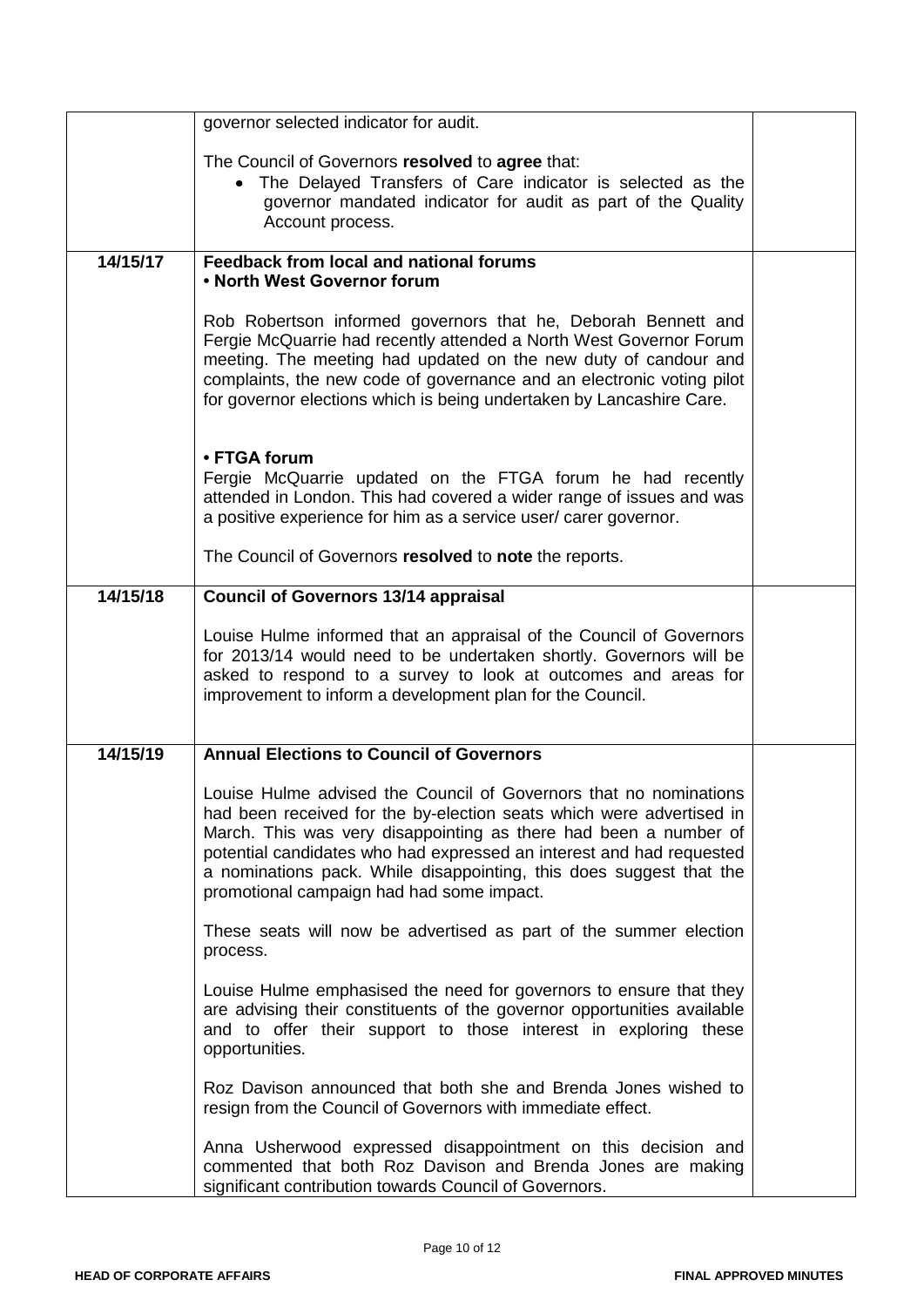|          | governor selected indicator for audit.                                                                                                                                                                                                                                                                                                                                                                    |  |
|----------|-----------------------------------------------------------------------------------------------------------------------------------------------------------------------------------------------------------------------------------------------------------------------------------------------------------------------------------------------------------------------------------------------------------|--|
|          | The Council of Governors resolved to agree that:<br>• The Delayed Transfers of Care indicator is selected as the<br>governor mandated indicator for audit as part of the Quality<br>Account process.                                                                                                                                                                                                      |  |
| 14/15/17 | Feedback from local and national forums<br>• North West Governor forum                                                                                                                                                                                                                                                                                                                                    |  |
|          | Rob Robertson informed governors that he, Deborah Bennett and<br>Fergie McQuarrie had recently attended a North West Governor Forum<br>meeting. The meeting had updated on the new duty of candour and<br>complaints, the new code of governance and an electronic voting pilot<br>for governor elections which is being undertaken by Lancashire Care.                                                   |  |
|          | • FTGA forum<br>Fergie McQuarrie updated on the FTGA forum he had recently<br>attended in London. This had covered a wider range of issues and was<br>a positive experience for him as a service user/ carer governor.                                                                                                                                                                                    |  |
|          | The Council of Governors resolved to note the reports.                                                                                                                                                                                                                                                                                                                                                    |  |
| 14/15/18 | <b>Council of Governors 13/14 appraisal</b>                                                                                                                                                                                                                                                                                                                                                               |  |
|          | Louise Hulme informed that an appraisal of the Council of Governors<br>for 2013/14 would need to be undertaken shortly. Governors will be<br>asked to respond to a survey to look at outcomes and areas for<br>improvement to inform a development plan for the Council.                                                                                                                                  |  |
| 14/15/19 | <b>Annual Elections to Council of Governors</b>                                                                                                                                                                                                                                                                                                                                                           |  |
|          | Louise Hulme advised the Council of Governors that no nominations<br>had been received for the by-election seats which were advertised in<br>March. This was very disappointing as there had been a number of<br>potential candidates who had expressed an interest and had requested<br>a nominations pack. While disappointing, this does suggest that the<br>promotional campaign had had some impact. |  |
|          | These seats will now be advertised as part of the summer election<br>process.                                                                                                                                                                                                                                                                                                                             |  |
|          | Louise Hulme emphasised the need for governors to ensure that they<br>are advising their constituents of the governor opportunities available<br>and to offer their support to those interest in exploring these<br>opportunities.                                                                                                                                                                        |  |
|          | Roz Davison announced that both she and Brenda Jones wished to<br>resign from the Council of Governors with immediate effect.                                                                                                                                                                                                                                                                             |  |
|          | Anna Usherwood expressed disappointment on this decision and<br>commented that both Roz Davison and Brenda Jones are making<br>significant contribution towards Council of Governors.                                                                                                                                                                                                                     |  |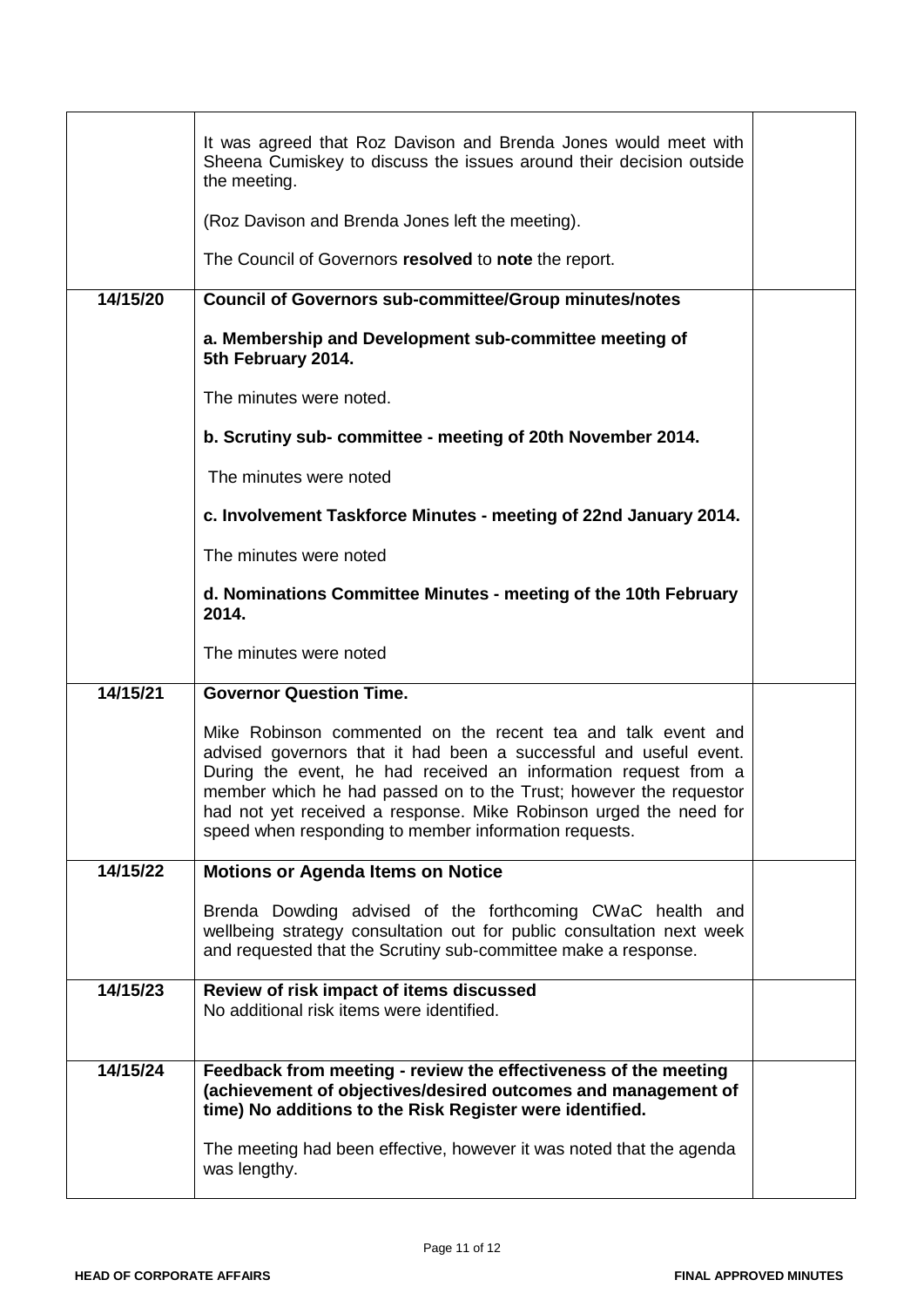|          | It was agreed that Roz Davison and Brenda Jones would meet with<br>Sheena Cumiskey to discuss the issues around their decision outside<br>the meeting.                                                                                                                                                                                                                                                  |  |
|----------|---------------------------------------------------------------------------------------------------------------------------------------------------------------------------------------------------------------------------------------------------------------------------------------------------------------------------------------------------------------------------------------------------------|--|
|          | (Roz Davison and Brenda Jones left the meeting).                                                                                                                                                                                                                                                                                                                                                        |  |
|          | The Council of Governors resolved to note the report.                                                                                                                                                                                                                                                                                                                                                   |  |
| 14/15/20 | <b>Council of Governors sub-committee/Group minutes/notes</b>                                                                                                                                                                                                                                                                                                                                           |  |
|          | a. Membership and Development sub-committee meeting of<br>5th February 2014.                                                                                                                                                                                                                                                                                                                            |  |
|          | The minutes were noted.                                                                                                                                                                                                                                                                                                                                                                                 |  |
|          | b. Scrutiny sub- committee - meeting of 20th November 2014.                                                                                                                                                                                                                                                                                                                                             |  |
|          | The minutes were noted                                                                                                                                                                                                                                                                                                                                                                                  |  |
|          | c. Involvement Taskforce Minutes - meeting of 22nd January 2014.                                                                                                                                                                                                                                                                                                                                        |  |
|          | The minutes were noted                                                                                                                                                                                                                                                                                                                                                                                  |  |
|          | d. Nominations Committee Minutes - meeting of the 10th February<br>2014.                                                                                                                                                                                                                                                                                                                                |  |
|          | The minutes were noted                                                                                                                                                                                                                                                                                                                                                                                  |  |
| 14/15/21 | <b>Governor Question Time.</b>                                                                                                                                                                                                                                                                                                                                                                          |  |
|          | Mike Robinson commented on the recent tea and talk event and<br>advised governors that it had been a successful and useful event.<br>During the event, he had received an information request from a<br>member which he had passed on to the Trust; however the requestor<br>had not yet received a response. Mike Robinson urged the need for<br>speed when responding to member information requests. |  |
| 14/15/22 | <b>Motions or Agenda Items on Notice</b>                                                                                                                                                                                                                                                                                                                                                                |  |
|          | Brenda Dowding advised of the forthcoming CWaC health and<br>wellbeing strategy consultation out for public consultation next week<br>and requested that the Scrutiny sub-committee make a response.                                                                                                                                                                                                    |  |
| 14/15/23 | Review of risk impact of items discussed<br>No additional risk items were identified.                                                                                                                                                                                                                                                                                                                   |  |
| 14/15/24 | Feedback from meeting - review the effectiveness of the meeting<br>(achievement of objectives/desired outcomes and management of<br>time) No additions to the Risk Register were identified.                                                                                                                                                                                                            |  |
|          | The meeting had been effective, however it was noted that the agenda<br>was lengthy.                                                                                                                                                                                                                                                                                                                    |  |